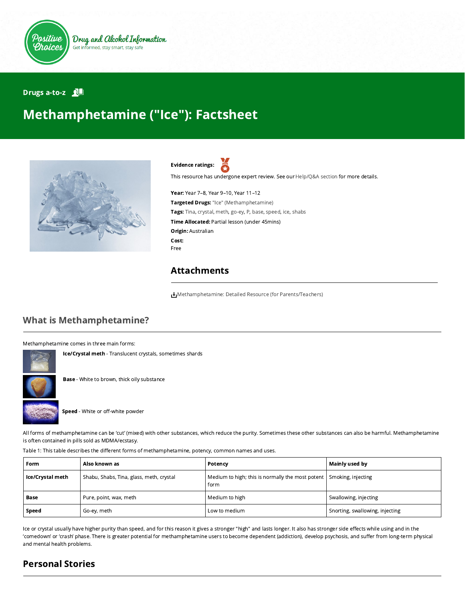

#### Drugs a-to-z **ND**

# Methamphetamine ("Ice"): Factsheet



Evidence ratings:

This resource has undergone expert review. See our [Help/Q&A section](https://positivechoices.org.au/help/questions-and-answers/) for more details.

Year: Year 7–8, Year 9–10, Year 11–12 Targeted Drugs: "Ice" (Methamphetamine) Tags: Tina, crystal, meth, go-ey, P, base, speed, ice, shabs Time Allocated: Partial lesson (under 45mins) Origin: Australian Cost: Free

## Attachments

[Methamphetamine: Detailed Resource \(for Parents/Teachers\)](https://positivechoices.org.au/documents/88gZMzeLgi/methamphetamine-detailed-resource-for-parentsteachers/)

# What is Methamphetamine?

Methamphetamine comes in three main forms:



**Base** - White to brown, thick oily substance

Ice/Crystal meth - Translucent crystals, sometimes shards



All forms of methamphetamine can be 'cut' (mixed) with other substances, which reduce the purity. Sometimes these other substances can also be harmful. Methamphetamine is often contained in pills sold as MDMA/ecstasy.

Table 1: This table describes the different forms of methamphetamine, potency, common names and uses.

| Form             | Also known as                            | Potency                                                  | Mainly used by                  |
|------------------|------------------------------------------|----------------------------------------------------------|---------------------------------|
| Ice/Crystal meth | Shabu, Shabs, Tina, glass, meth, crystal | Medium to high; this is normally the most potent<br>form | Smoking, injecting              |
| Base             | Pure, point, wax, meth                   | Medium to high                                           | Swallowing, injecting           |
| Speed            | Go-ey, meth                              | Low to medium                                            | Snorting, swallowing, injecting |

Ice or crystal usually have higher purity than speed, and for this reason it gives a stronger "high" and lasts longer. It also has stronger side effects while using and in the 'comedown' or 'crash' phase. There is greater potential for methamphetamine users to become dependent (addiction), develop psychosis, and suffer from long-term physical and mental health problems.

# Personal Stories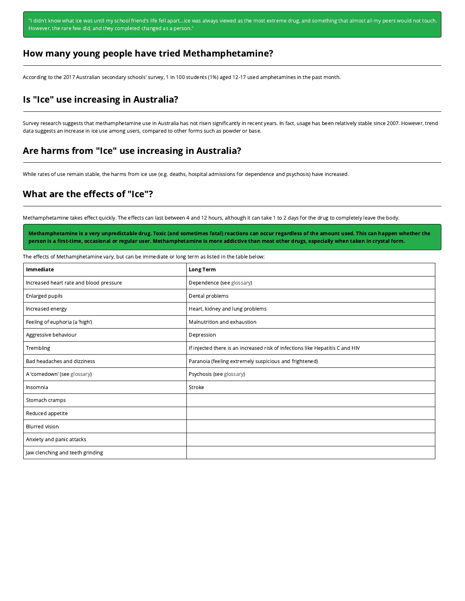"I didn't know what ice was until my school friend's life fell apart...ice was always viewed as the most extreme drug, and something that almost all my peers would not touch. However, the rare few did, and they completed changed as a person."

#### How many young people have tried Methamphetamine?

According to the 2017 Australian secondary schools' survey, 1 in 100 students (1%) aged 12-17 used amphetamines in the past month.

### Is "Ice" use increasing in Australia?

Survey research suggests that methamphetamine use in Australia has not risen significantly in recent years. In fact, usage has been relatively stable since 2007. However, trend data suggests an increase in ice use among users, compared to other forms such as powder or base.

#### Are harms from "Ice" use increasing in Australia?

While rates of use remain stable, the harms from ice use (e.g. deaths, hospital admissions for dependence and psychosis) have increased.

#### What are the effects of "Ice"?

Methamphetamine takes effect quickly. The effects can last between 4 and 12 hours, although it can take 1 to 2 days for the drug to completely leave the body.

Methamphetamine is a very unpredictable drug. Toxic (and sometimes fatal) reactions can occur regardless of the amount used. This can happen whether the person is a first-time, occasional or regular user. Methamphetamine is more addictive than most other drugs, especially when taken in crystal form.

The effects of Methamphetamine vary, but can be immediate or long term as listed in the table below:

| Immediate                               | <b>Long Term</b>                                                              |  |
|-----------------------------------------|-------------------------------------------------------------------------------|--|
| Increased heart rate and blood pressure | Dependence (see glossary)                                                     |  |
| Enlarged pupils                         | Dental problems                                                               |  |
| Increased energy                        | Heart, kidney and lung problems                                               |  |
| Feeling of euphoria (a 'high')          | Malnutrition and exhaustion                                                   |  |
| Aggressive behaviour                    | Depression                                                                    |  |
| Trembling                               | If injected there is an increased risk of infections like Hepatitis C and HIV |  |
| Bad headaches and dizziness             | Paranoia (feeling extremely suspicious and frightened)                        |  |
| A 'comedown' (see glossary)             | Psychosis (see glossary)                                                      |  |
| Insomnia                                | Stroke                                                                        |  |
| Stomach cramps                          |                                                                               |  |
| Reduced appetite                        |                                                                               |  |
| <b>Blurred vision</b>                   |                                                                               |  |
| Anxiety and panic attacks               |                                                                               |  |
| Jaw clenching and teeth grinding        |                                                                               |  |